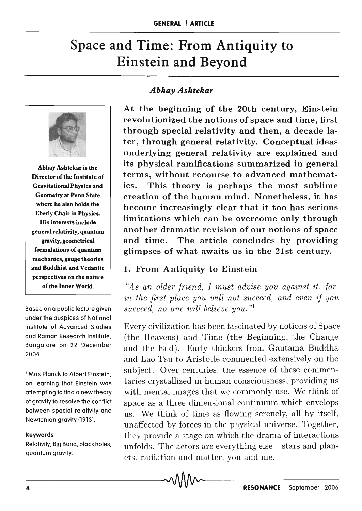# Space and Time: From Antiquity to Einstein and Beyond



Abhay Ashtekar is the Director of the Institute of Gravitational Physics and Geometry at Penn State where he also holds the Eberly Chair in Physics. His interests include general relativity, quantum gravity, geometrical formulations of quantum mechanics, gauge theories and Buddhist and Vedantic perspectives on the nature ofthe Inner World.

Based on a public lecture given under the auspices of National Institute of Advanced Studies and Raman Research Institute, Bangalore on 22 December 2004.

<sup>1</sup> Max Planck to Albert Einstein, on learning that Einstein was attempting to find a new theory of gravity to resolve the conflict between special relativity and Newtonian gravity (1913).

#### Keywords

Relativity, Big Bang, black holes, quantum gravity.

# *Abhay Ashtekar*

At the beginning of the 20th century, Einstein revolutionized the notions of space and time, first through special relativity and then, a decade later, through general relativity. Conceptual ideas underlying general relativity are explained and its physical ramifications summarized in general terms, without recourse to advanced mathematics. This theory is perhaps the most sublime creation of the human mind. Nonetheless, it has become increasingly clear that it too has serious limitations which can be overcome only through another dramatic revision of our notions of space and time. The article concludes by providing glimpses of what awaits us in the 21st century.

#### 1. From Antiquity to Einstein

*"As an older friend, I rnust advise you against it. jor, in the first place you 'Will not succeed, and even if you succeed, no one will believe you. "1* 

Every civilization has been fascinated by notions of Space (the Heavens) and Time (the Beginning, the Change and the End). Early thinkers from Gautama Buddha and Lao Tsu to Aristotle commented extensively on the subject. Over centuries, the essence of these commentaries crystallized in human consciousness, providing us with mental images that we commonly use. We think of space as a three dimensional continuum which envelops us. We think of time as flowing serenely, all by itself, unaffected by forces in the physical universe. Together, they provide a stage on which the drama of interactions unfolds. The actors are everything else stars and planets. radiation and matter, you and me.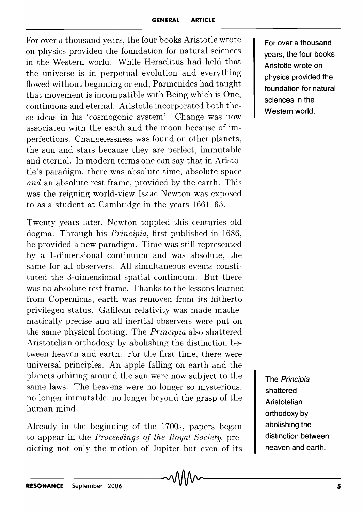For over a thousand years, the four books Aristotle wrote on physics provided the foundation for natural sciences in the Western world. While Heraclitus had held that the universe is in perpetual evolution and everything flowed without beginning or end, Parmenides had taught that movement is incompatible with Being which is One, continuous and eternal. Aristotle incorporated both these ideas in his 'cosmogonic system' Change was now associated with the earth and the moon because of imperfections. Changelessness was found on other planets, the sun and stars because they are perfect, immutable and eternal. **In** modern terms one can say that in Aristotle's paradigm, there was absolute time, absolute space *and* an absolute rest frame, provided by the earth. This was the reigning world-view Isaac Newton was exposed to as a student at Cambridge in the years 1661-65.

Twenty years later, Newton toppled this centuries old dogma. Through his *Principia*, first published in 1686, he provided a new paradigm. Time was still represented by a I-dimensional continuum and was absolute, the same for all observers. All simultaneous events constituted the 3-dimensional spatial continuum. But there was no absolute rest frame. Thanks to the lessons learned from Copernicus, earth was removed from its hitherto privileged status. Galilean relativity was made mathematically precise and all inertial observers were put on the same physical footing. The *Principia* also shattered Aristotelian orthodoxy by abolishing the distinction between heaven and earth. For the first time, there were universal principles. An apple falling on earth and the planets orbiting around the sun were now subject to the same laws. The heavens were no longer so mysterious, no longer immutable, no longer beyond the grasp of the human mind.

Already in the beginning of the 1700s, papers began to appear in the *Proceedings of the Royal Society,* predicting not only the motion of Jupiter but even of its

For over a thousand **years, the four books Aristotle wrote on physics provided the foundation for natural sciences in the Western world.** 

**The Principia shattered Aristotelian orthodoxy by abolishing the distinction between heaven and earth.**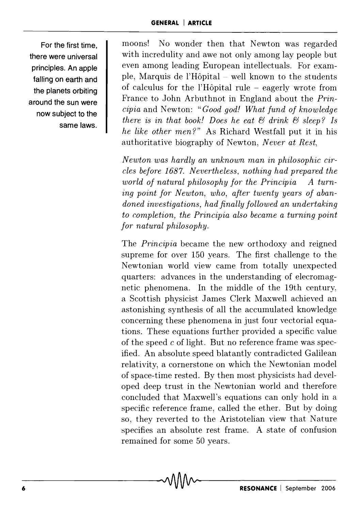For the first time, there were universal principles. An apple falling on earth and the planets orbiting around the sun were now subject to the same laws.

moons! No wonder then that Newton was regarded with incredulity and awe not only among lay people but even among leading European intellectuals. For example, Marquis de I'Hopital - well known to the students of calculus for the l'Hôpital rule  $-$  eagerly wrote from France to John Arbuthnot in England about the *Principia* and Newton: *"Good god! What fund of knowledge there is in that book! Does he eat & drink & sleep? Is he like other men?"* As Richard Westfall put it in his authoritative biography of Newton, *Never at Rest,* 

*Newton was hardly an unknown man in philosophic circles before* 1687. *Nevertheless, nothing had prepared the world of natural philosophy for the Principia A turning point for Newton, who, after twenty years of abandoned investigations, had finally followed an undertaking to completion, the Principia also became a turning point for natural philosophy.* 

The *Principia* became the new orthodoxy and reigned supreme for over 150 years. The first challenge to the Newtonian world view came from totally unexpected quarters: advances in the understanding of elecromagnetic phenomena. In the middle of the 19th century: a Scottish physicist James Clerk Maxwell achieved an astonishing synthesis of all the accumulated knowledge concerning these phenomena in just four vectorial equations. These equations further provided a specific value of the speed  $c$  of light. But no reference frame was specified. An absolute speed blatantly contradicted Galilean relativity, a cornerstone on which the Newtonian model of space-time rested. By then most physicists had developed deep trust in the Newtonian world and therefore concluded that Maxwell's equations can only hold in a specific reference frame, called the ether. But by doing so, they reverted to the Aristotelian view that Nature specifies an absolute rest frame. A state of confusion remained for some 50 years.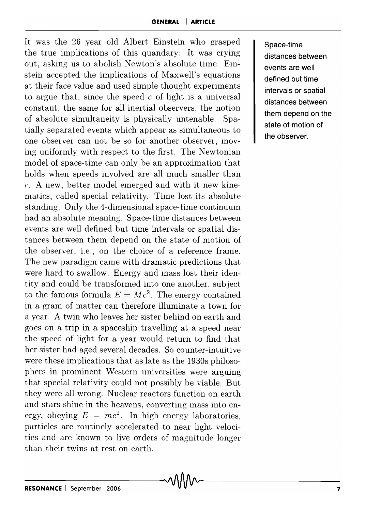It was the 26 year old Albert Einstein who grasped the true implications of this quandary: It was crying out, asking us to abolish Newton's absolute time. Einstein accepted the implications of Maxwell's equations at their face value and used simple thought experiments to argue that, since the speed  $c$  of light is a universal constant, the same for all inertial observers, the notion of absolute simultaneity is physically untenable. Spatially separated events which appear as simultaneous to one observer can not be so for another observer, moving uniformly with respect to the first. The Newtonian model of space-time can only be an approximation that holds when speeds involved are all much smaller than  $c$ . A new, better model emerged and with it new kinematics, called special relativity. Time lost its absolute standing. Only the 4-dimensional space-time continuum had an absolute meaning. Space-time distances between events are well defined but time intervals or spatial distances between them depend on the state of motion of the observer, i.e., on the choice of a reference frame. The new paradigm came with dramatic predictions that were hard to swallow. Energy and mass lost their identity and could be transformed into one another, subject to the famous formula  $E = Mc^2$ . The energy contained in a gram of matter can therefore illuminate a town for a year. A twin who leaves her sister behind on earth and goes on a trip in a spaceship travelling at a speed near the speed of light for a year would return to find that her sister had aged several decades. So counter-intuitive were these implications that as late as the 1930s philosophers in prominent Western universities were arguing that special relativity could not possibly be viable. But they were all wrong. Nuclear reactors function on earth and stars shine in the heavens, converting mass into energy, obeying  $E = mc^2$ . In high energy laboratories, particles are routinely accelerated to near light velocities and are known to live orders of magnitude longer than their twins at rest on earth.

Space-time distances between events are well defined but time intervals or spatial distances between them depend on the state of motion of the observer.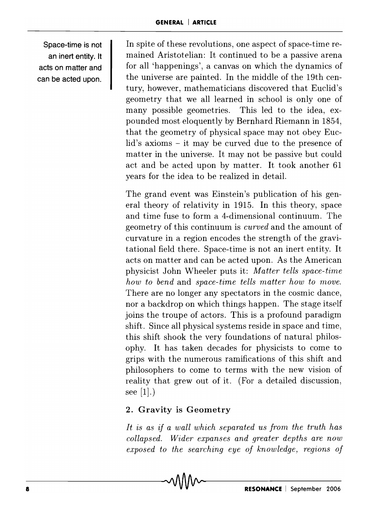Space-time is not an inert entity. It acts on matter and can be acted upon.

In spite of these revolutions, one aspect of space-time remained Aristotelian: It continued to be a passive arena for all 'happenings', a canvas on which the dynamics of the universe are painted. In the middle of the 19th century, however, mathematicians discovered that Euclid's geometry that we all learned in school is only one of many possible geometries. This led to the idea, expounded most eloquently by Bernhard Riemann in 1854, that the geometry of physical space may not obey Euclid's axioms - it may be curved due to the presence of matter in the universe. It may not be passive but could act and be acted upon by matter. It took another 61 years for the idea to be realized in detail.

The grand event was Einstein's publication of his general theory of relativity in 1915. In this theory, space and time fuse to form a 4-dimensional continuum. The geometry of this continuum is *curved* and the amount of curvature in a region encodes the strength of the gravitational field there. Space-time is not an inert entity. It acts on matter and can be acted upon. As the Arnerican physicist John Wheeler puts it: *Matter tells space-time how to bend* and *space-time tells matter how to move.*  There are no longer any spectators in the cosmic dance, nor a backdrop on which things happen. The stage itself joins the troupe of actors. This is a profound paradigm shift. Since all physical systems reside in space and time, this shift shook the very foundations of natural philosophy. It has taken decades for physicists to come to grips with the numerous ramifications of this shift and philosophers to come to terms with the new vision of reality that grew out of it. (For a detailed discussion, see [1].)

# 2. Gravity is Geometry

*It* is *as if a wall which separated us from the truth has collapsed. Wider expanses and greater depths are now exposed to the searching eye of knowledge, regions of*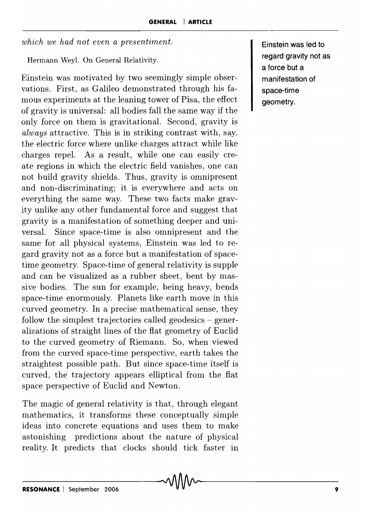*which we had not even a presentiment.* 

Hermann Weyl. On General Relativity.

Einstein was motivated by two seemingly simple observations. First, as Galileo demonstrated through his famous experiments at the leaning tower of Pisa, the effect of gravity is universal: all bodies fall the same way if the only force on them is gravitational. Second, gravity is *always* attractive. This is in striking contrast with, say, the electric force where unlike charges attract while like charges repel. As a result, while one can easily create regions in which the electric field vanishes, one can not build gravity shields. Thus, gravity is omnipresent and non-discriminating; it is everywhere and acts on everything the same way. These two facts make gravity unlike any other fundamental force and suggest that gravity is a manifestation of something deeper and universal. Since space-time is also omnipresent and the same for all physical systems, Einstein was led to regard gravity not as a force but a manifestation of spacetime geometry. Space-time of general relativity is supple and can be visualized as a rubber sheet, bent by massive bodies. The sun for example, being heavy, bends space-time enormously. Planets like earth move in this curved geometry. In a precise mathematical sense, they follow the simplest trajectories called geodesics – generalizations of straight lines of the flat geometry of Euclid to the curved geometry of Riemann. So, when viewed from the curved space-time perspective, earth takes the straightest possible path. But since space-time itself is curved, the trajectory appears elliptical from the flat space perspective of Euclid and Newton.

The magic of general relativity is that, through elegant mathematics, it transforms these conceptually simple ideas into concrete equations and uses them to make astonishing predictions about the nature of physical reality. It predicts that clocks should tick faster in

Einstein was led to regard gravity not as a force but a manifestation of space-time geometry.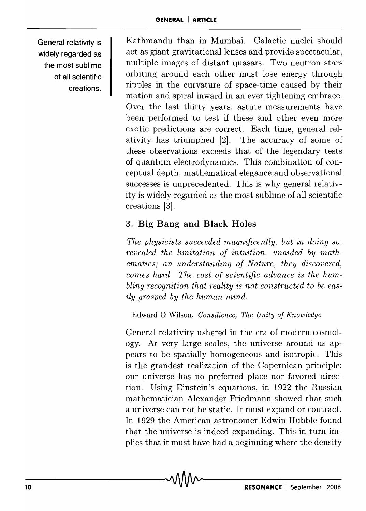General relativity is widely regarded as the most sublime of all scientific creations.

Kathmandu than in Mumbai. Galactic nuclei should act as giant gravitational lenses and provide spectacular, multiple images of distant quasars. Two neutron stars orbiting around each other must lose energy through ripples in the curvature of space-time caused by their motion and spiral inward in an ever tightening embrace. Over the last thirty years, astute measurements have been performed to test if these and other even more exotic predictions are correct. Each time, general relativity has triumphed [2]. The accuracy of some of these observations exceeds that of the legendary tests of quantum electrodynamics. This combination of conceptual depth, mathematical elegance and observational successes is unprecedented. This is why general relativity is widely regarded as the most sublime of all scientific creations [3].

# 3. Big Bang and Black Holes

*The physicists succeeded magnificently, but in doing so, revealed the limitation of intuition, unaided by mathematics; an understanding of Nature, they discovered, comes hard. The cost of scientific advance is the humbling recognition that reality is not constructed to be easily grasped by the human mind.* 

Edward 0 Wilson. *Consilience, The Unity of Knowledge* 

General relativity ushered in the era of modern cosmology. At very large scales, the universe around us appears to be spatially homogeneous and isotropic. This is the grandest realization of the Copernican principle: our universe has no preferred place nor favored direction. Using Einstein's equations, in 1922 the Russian mathematician Alexander Friedmann showed that such a universe can not be static. It must expand or contract. In 1929 the American astronomer Edwin Hubble found that the universe is indeed expanding. This in turn implies that it must have had a beginning where the density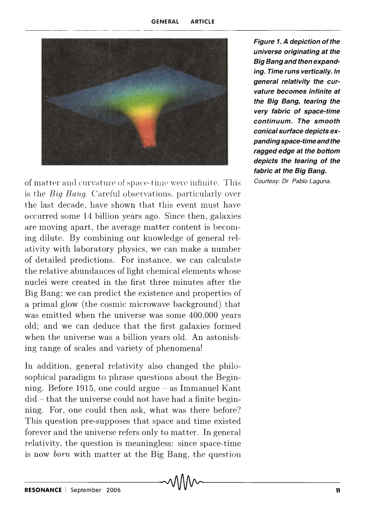

of matter and curvature of space-time were infinite. This is the *Big Bang.* Careful observations. particularly over the last decade, have shown that this event must have occurred some 14 billion years ago. Since then, galaxies are moving apart, the average matter content is beconling dilute. By combining our knowledge of general relativity with laboratory physics, we can make a number of detailed predictions. For instance, we can calculate the relative abundances of light chemical elements whose nuclei were created in the first three minutes after the Big Bang; we can predict the existence and properties of a primal glow (the cosmic microwave background) that was emitted when the universe was some 400,000 years old; and we can deduce that the first galaxies fonned when the universe was a billion years old. An astonishing range of scales and variety of phenomena!

**In** addition, general relativity also changed the philosophical paradigm to phrase questions about the Beginning. Before 1915, one could argue - as Immanuel Kant did - that the universe could not have had a finite beginning. For, one could then ask, what was there before? This question pre-supposes that space and time existed forever and the universe refers only to matter. **In** general relativity, the question is meaningless: since space-time is now *born* with matter at the Big Bang, the question

**Figure 1. A depiction of the universe originating at the Big Bang and then expanding. Time runs vertically. In general relativity the curvature becomes infinite at the Big Bang, tearing the very fabric of space-time continuum. The smooth conical surface depicts expanding space-time and the ragged edge at the bottom depicts the tearing of the fabric at the Big Bang.** 

Courtesy: Or Pablo Laguna.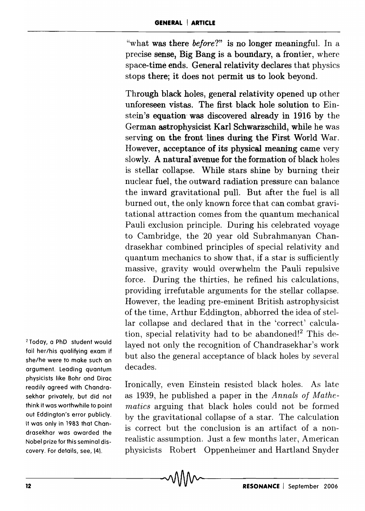"what was there *before*?" is no longer meaningful. In a precise sense, Big Bang is a boundary, a frontier, where space-time ends. General relativity declares that physics stops there; it does not permit us to look beyond.

Through black holes, general relativity opened up other unforeseen vistas. The first black hole solution to Einstein's equation- was discovered already in  $1916$  by the German astrophysicist Karl Schwarzschild, while he was serving on the front lines during the First World War. However, acceptance of its physical meaning came very slowly. A natural avenue for the formation of black holes is stellar collapse. While stars shine by burning their nuclear fuel, the outward radiation pressure can balance the inward gravitational pull. But after the fuel is all burned out, the only known force that can combat gravitational attraction comes from the quantum mechanical Pauli exclusion principle. During his celebrated voyage to Cambridge, the 20 year old Subrahmanyan Chandrasekhar combined principles of special relativity and quantum mechanics to show that, if a star is sufficiently massive, gravity would overwhelm the Pauli repulsive force. During the thirties, he refined his calculations, providing irrefutable arguments for the stellar collapse. However, the leading pre-eminent British astrophysicist of the time, Arthur Eddington, abhorred the idea of stellar collapse and declared that in the 'correct' calculation, special relativity had to be abandoned!2 This delayed not only the recognition of Chandrasekhar's work but also the general acceptance of black holes by several decades.

Ironically, even Einstein resisted black holes. As late as 1939, he published a paper in the *Annals of Mathematics* arguing that black holes could not be formed by the gravitational collapse of a star. The calculation is correct but the conclusion is an artifact of a nonrealistic assumption. Just a few months later, American physicists Robert Oppenheimer and Hartland Snyder

2 Today, a PhD student would fail her/his qualifying exam if she/he were to make such an argument. Leading quantum physicists like Bohr and Dirac readily agreed with Chandrasekhar privately, but did not think it was worthwhile to point out Eddington's error pUblicly. It was only in 1983 that Chandrasekhar was awarded the Nobel prize for this seminal discovery. For details, see, [4].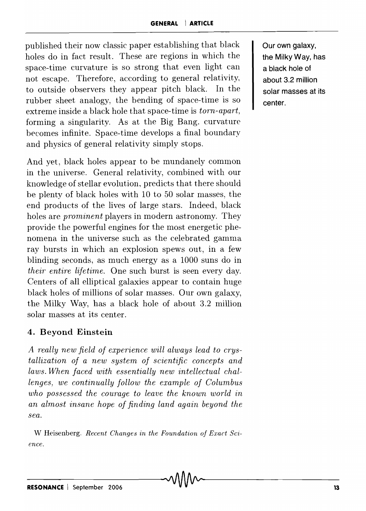published their now classic paper establishing that black holes do in fact result. These are regions in which the space-time curvature is so strong that even light can not escape. Therefore, according to general relativity, to outside observers they appear pitch black. In the rubber sheet analogy, the bending of space-time is so extreme inside a black hole that space-time is *torn-apart,*  forming a singularity. As at the Big Bang. curvature becomes infinite. Space-time develops a final boundary and physics of general relativity simply stops.

And yet, black holes appear to be mundanely common in the universe. General relativity, combined with our knowledge of stellar evolution, predicts that there should be plenty of black holes with 10 to 50 solar masses, the end products of the lives of large stars. Indeed, black holes are *prominent* players in modern astronomy. They provide the powerful engines for the most energetic phenomena in the universe such as the celebrated gamma ray bursts in which an explosion spews out, in a few blinding seconds, as much energy as a 1000 suns do in *their entire lifetime.* One such burst is seen every day. Centers of all elliptical galaxies appear to contain huge black holes of millions of solar masses. Our own galaxy, the Milky Way, has a black hole of about 3.2 million solar masses at its center.

# 4. Beyond Einstein

*A really new field of experience will always lead to crystallization of a new system of scientific concepts and laws. When faced with essentially new intellectual challenges, we continually follow the example of Columbus who possessed the courage to leave the known world in an almost insane hope of finding land again beyond the sea.* 

W Heisenberg. *Recent Changes in the Foundation of Exact Science.* 

Our own galaxy, the Milky Way, has a black hole of about 3.2 million solar masses at its center.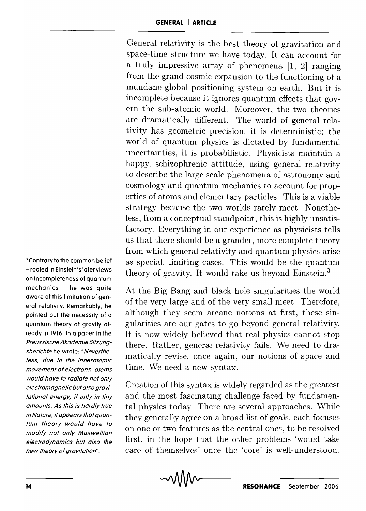General relativity is the best theory of gravitation and space-time structure we have today. It can account for a truly impressive array of phenomena [1, 2] ranging from the grand cosmic expansion to the functioning of a mundane global positioning system on earth. But it is incomplete because it ignores quantum effects that govern the sub-atomic world. Moreover, the two theories are dramatically different. The world of general relativity has geometric precision, it is deterministic; the world of quantum physics is dictated by fundamental uncertainties, it is probabilistic. Physicists maintain a happy, schizophrenic attitude, using general relativity to describe the large scale phenomena of astronomy and cosmology and quantum mechanics to account for properties of atoms and elementary particles. This is a viable strategy because the two worlds rarely meet. Nonetheless, from a conceptual standpoint, this is highly unsatisfactory. Everything in our experience as physicists tells us that there should be a grander, more complete theory from which general relativity and quantum physics arise as special, limiting cases. This would be the quantum theory of gravity. It would take us beyond Einstein. <sup>3</sup>

At the Big Bang and black hole singularities the world of the very large and of the very small meet. Therefore, although they seem arcane notions at first, these singularities are our gates to go beyond general relativity. It is now widely believed that real physics cannot stop there. Rather, general relativity fails. We need to dramatically revise, once again, our notions of space and time. We need a new syntax.

Creation of this syntax is widely regarded as the greatest and the most fascinating challenge faced by fundamental physics today. There are several approaches. While they generally agree on a broad list of goals, each focuses on one or two features as the central ones, to be resolved first, in the hope that the other problems 'would take care of themselves' once the 'core' is well-understood.

<sup>3</sup>Contrary to the common belief - rooted in Einstein's later views on incompleteness of quantum mechanics he was quite aware of this limitation of general relativity. Remarkably, he pointed out the necessity of a quantum theory of gravity already in 1916! **In** a paper in the Preussische Akademie Sitzungsberichte he wrote: "Nevertheless, due to the inneratomic movement of electrons, atoms would have to radiate not only electromagnetic but also gravitational energy, if only in tiny amounts. As this is hardly true in Nature, it appears that quantum theory would have to modify not only Maxwellian electrodynamics but also the new theory of gravitation".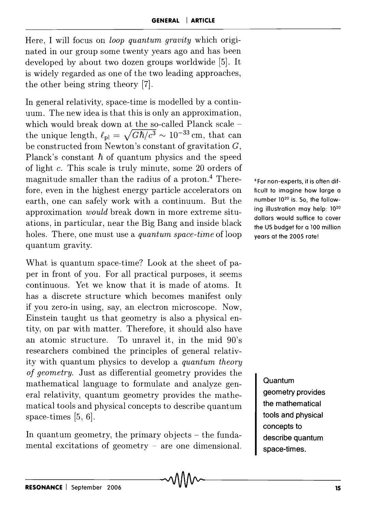Here, I will focus on *loop quantum gravity* which originated in our group some twenty years ago and has been developed by about two dozen groups worldwide [5]. It is widely regarded as one of the two leading approaches, the other being string theory [7].

In general relativity, space-time is modelled by a continuum. The new idea is that this is only an approximation, which would break down at the so-called Planck scale the unique length,  $\ell_{\rm pl} = \sqrt{G\hbar/c^3} \sim 10^{-33}$  cm, that can be constructed from Newton's constant of gravitation  $G$ , Planck's constant  $\hbar$  of quantum physics and the speed of light c. This scale is truly minute, some 20 orders of magnitude smaller than the radius of a proton.<sup>4</sup> Therefore, even in the highest energy particle accelerators on earth, one can safely work with a continuum. But the approximation *would* break down in more extreme situations, in particular, near the Big Bang and inside black holes. There, one must use a *quantum space-time* of loop quantum gravity.

What is quantum space-time? Look at the sheet of paper in front of you. For all practical purposes, it seems continuous. Yet we know that it is made of atoms. It has a discrete structure which becomes manifest only if you zero-in using, say, an electron microscope. Now, Einstein taught us that geometry is also a physical entity, on par with matter. Therefore, it should also have an atomic structure. To unravel it, in the mid 90's researchers combined the principles of general relativity with quantum physics to develop a *quantum theory of geometry.* Just as differential geometry provides the mathematical language to formulate and analyze general relativity, quantum geometry provides the mathematical tools and physical concepts to describe quantum space-times [5, 6].

In quantum geometry, the primary objects  $-$  the fundamental excitations of geometry - are one dimensional.

4 For non-experts, it is often difficult to imagine how large a number 1020 is. So, the following illustration may help: 10<sup>20</sup> dollars would suffice to cover the US budget for a 100 million years at the 2005 rate!

Quantum geometry provides the mathematical tools and physical concepts to describe quantum space-times.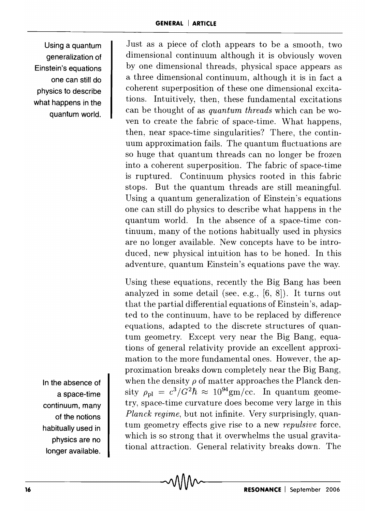Using a quantum generalization of Einstein's equations one can still do physics to describe what happens in the quantum world.

In the absence of a space-time continuum, many of the notions habitually used in physics are no longer available.

Just as a piece of cloth appears to be a smooth, two dimensional continuum although it is obviously woven by one dimensional threads, physical space appears as a three dimensional continuum, although it is in fact a coherent superposition of these one dimensional excitations. Intuitively, then, these fundamental excitations can be thought of as *quantum threads* which can be woven to create the fabric of space-time. What happens, then, near space-time singularities? There, the continuum approximation fails. The quantum fluctuations are so huge that quantum threads can no longer be frozen into a coherent superposition. The fabric of space-time is ruptured. Continuum physics rooted in this fabric stops. But the quantum threads are still meaningful. Using a quantum generalization of Einstein's equations one can still do physics to describe what happens in the quantum world. In the absence of a space-time continuum, many of the notions habitually used in physics are no longer available. New concepts have to be introduced, new physical intuition has to be honed. In this adventure, quantum Einstein's equations pave the way.

Using these equations, recently the Big Bang has been analyzed in some detail (see. e.g., [6, 8]). It turns out that the partial differential equations of Einstein's, adapted to the continuum, have to be replaced by difference equations, adapted to the discrete structures of quantum geometry. Except very near the Big Bang, equations of general relativity provide an excellent approximation to the more fundamental ones. However, the approximation breaks down completely near the Big Bang, when the density  $\rho$  of matter approaches the Planck density  $\rho_{\rm pl} = c^3/G^2\hbar \approx 10^{94}$ gm/cc. In quantum geometry, space-time curvature does become very large in this *Planck regime,* but not infinite. Very surprisingly, quantum geometry effects give rise to a new *repulsive* force. which is so strong that it overwhelms the usual gravitational attraction. General relativity breaks down. The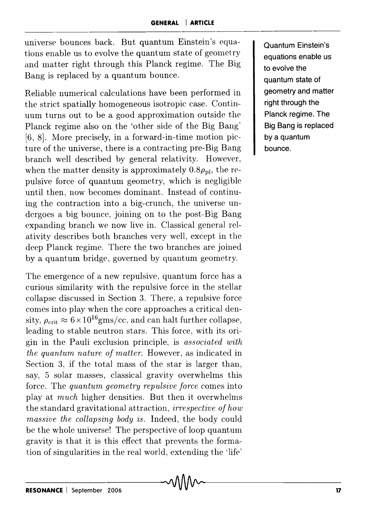universe bounces back. But quantum Einstein's equations enable us to evolve the quantum state of geometry and matter right through this Planck regime. The Big Bang is replaced by a quantum bounce.

Reliable numerical calculations have been performed in the strict spatially homogeneous isotropic case. Continuum turns out to be a good approximation outside the Planck regime also on the 'other side of the Big Bang' [6, 8]. More precisely, in a forward-in-time motion picture of the universe, there is a contracting pre-Big Bang branch well described by general relativity. However, when the matter density is approximately  $0.8\rho_{\text{pl}}$ , the repulsive force of quantum geometry, which is negligible until then, now becomes dominant. Instead of continuing the contraction into a big-crunch, the universe undergoes a big bounce, joining on to the post-Big Bang expanding branch we now live in. Classical general relativity describes both branches very well, except in the deep Planck regime. There the two branches are joined by a quantum bridge, governed by quantum geometry.

The emergence of a new repulsive, quantum force has a curious similarity with the repulsive force in the stellar collapse discussed in Section 3. There, a repulsive force comes into play when the core approaches a critical density,  $\rho_{\rm crit} \approx 6 \times 10^{16}$ gms/cc, and can halt further collapse, leading to stable neutron stars. This force, with its origin in the Pauli exclusion principle, is *associated with the quantum nature of matter.* However, as indicated in Section 3, if the total mass of the star is larger than, say, 5 solar masses, classical gravity overwhelms this force. The *quantum geometry repulsive force* comes into play at *much* higher densities. But then it overwhelms the standard gravitational attraction, *irrespective of how massive the collapsing body is.* Indeed, the body could be the whole universe! The perspective of loop quantum gravity is that it is this effect that prevents the formation of singularities in the real world, extending the 'life'

**Quantum Einstein's equations enable us to evolve the quantum state of geometry and matter right through the Planck regime. The Big Bang is replaced**  by a **quantum bounce.**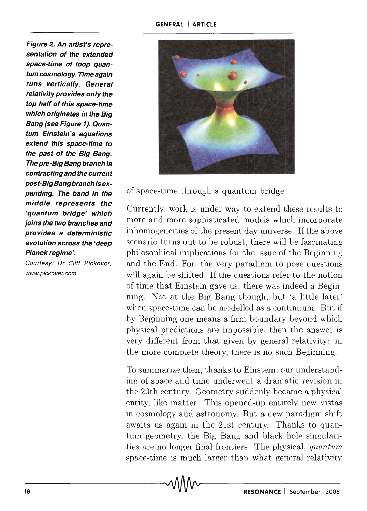**Figure 2. An artist's representation of the extended space-time of loop quantum cosmology. Time again runs vertically. General relativity provides only the top half of this space-time which originates in the Big Bang (see Figure 1). Quantum Einstein's equations extend this space-time to the past of the Big Bang. The pre-Big Bang branch is contracting and the current post-Big Bang branch is expanding. The band in the middle represents the 'quantum bridge' which joins the two branches and provides a deterministic evolution across the 'deep Planck regime'.** 

Courtesy: Dr Cliff Pickover, www.pickover.com



of space-time through a quantum bridge.

Currently, work is under way to extend these results to more and more sophisticated models which incorporate inhomogeneities of the present day universe. If the above scenario turns out to be robust, there will be fascinating philosophical implications for the issue of the Beginning and the End. For, the very paradigm to pose questions will again be shifted. If the questions refer to the notion of time that Einstein gave us, there was indeed a Beginning. Not at the Big Bang though, but 'a little later' when space-time can be modelled as a continuum. But if by Beginning one means a firm boundary beyond which physical predictions are impossible, then the answer is very different from that given by general relativity: in the more complete theory, there is no such Beginning.

To summarize then, thanks to Einstein, our understanding of space and time underwent a dramatic revision in the 20th century. Geometry suddenly became a physical entity, like matter. This opened-up entirely new vistas in cosmology and astronomy. But a new paradigm shift awaits us again in the 21st century. Thanks to quantum geometry, the Big Bang and black hole singularities are no longer final frontiers. The physical, quantum space-time is much larger than what general relativity